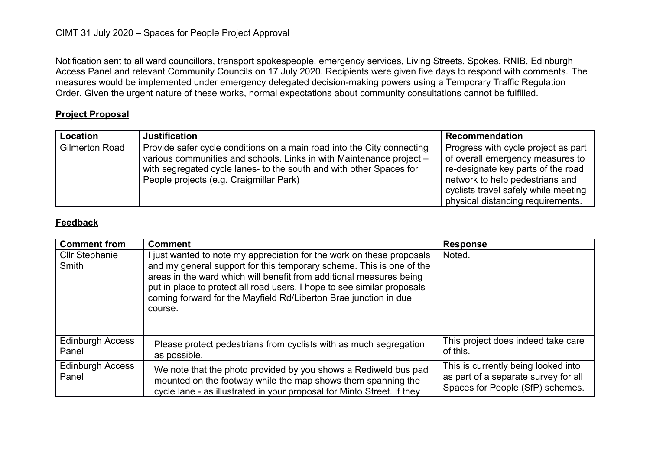Notification sent to all ward councillors, transport spokespeople, emergency services, Living Streets, Spokes, RNIB, Edinburgh Access Panel and relevant Community Councils on 17 July 2020. Recipients were given five days to respond with comments. The measures would be implemented under emergency delegated decision-making powers using a Temporary Traffic Regulation Order. Given the urgent nature of these works, normal expectations about community consultations cannot be fulfilled.

## **Project Proposal**

| <b>Location</b>       | <b>Justification</b>                                                                                                                                                                                                                                             | <b>Recommendation</b>                                                                                                                                                                                                         |
|-----------------------|------------------------------------------------------------------------------------------------------------------------------------------------------------------------------------------------------------------------------------------------------------------|-------------------------------------------------------------------------------------------------------------------------------------------------------------------------------------------------------------------------------|
| <b>Gilmerton Road</b> | Provide safer cycle conditions on a main road into the City connecting<br>various communities and schools. Links in with Maintenance project -<br>with segregated cycle lanes- to the south and with other Spaces for<br>People projects (e.g. Craigmillar Park) | Progress with cycle project as part<br>of overall emergency measures to<br>re-designate key parts of the road<br>network to help pedestrians and<br>cyclists travel safely while meeting<br>physical distancing requirements. |

## **Feedback**

| <b>Comment from</b>                   | <b>Comment</b>                                                                                                                                                                                                                                                                                                                                                                 | <b>Response</b>                                                                                                 |
|---------------------------------------|--------------------------------------------------------------------------------------------------------------------------------------------------------------------------------------------------------------------------------------------------------------------------------------------------------------------------------------------------------------------------------|-----------------------------------------------------------------------------------------------------------------|
| <b>Cllr Stephanie</b><br><b>Smith</b> | I just wanted to note my appreciation for the work on these proposals<br>and my general support for this temporary scheme. This is one of the<br>areas in the ward which will benefit from additional measures being<br>put in place to protect all road users. I hope to see similar proposals<br>coming forward for the Mayfield Rd/Liberton Brae junction in due<br>course. | Noted.                                                                                                          |
| <b>Edinburgh Access</b><br>Panel      | Please protect pedestrians from cyclists with as much segregation<br>as possible.                                                                                                                                                                                                                                                                                              | This project does indeed take care<br>of this.                                                                  |
| <b>Edinburgh Access</b><br>Panel      | We note that the photo provided by you shows a Rediweld bus pad<br>mounted on the footway while the map shows them spanning the<br>cycle lane - as illustrated in your proposal for Minto Street. If they                                                                                                                                                                      | This is currently being looked into<br>as part of a separate survey for all<br>Spaces for People (SfP) schemes. |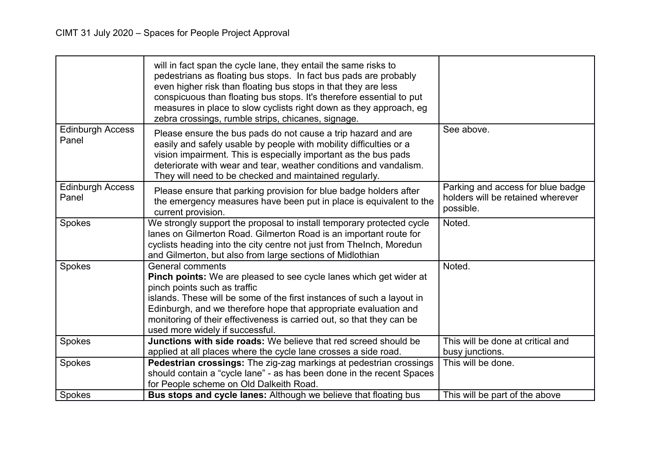|                                  | will in fact span the cycle lane, they entail the same risks to<br>pedestrians as floating bus stops. In fact bus pads are probably<br>even higher risk than floating bus stops in that they are less<br>conspicuous than floating bus stops. It's therefore essential to put<br>measures in place to slow cyclists right down as they approach, eg<br>zebra crossings, rumble strips, chicanes, signage. |                                                                                     |
|----------------------------------|-----------------------------------------------------------------------------------------------------------------------------------------------------------------------------------------------------------------------------------------------------------------------------------------------------------------------------------------------------------------------------------------------------------|-------------------------------------------------------------------------------------|
| <b>Edinburgh Access</b><br>Panel | Please ensure the bus pads do not cause a trip hazard and are<br>easily and safely usable by people with mobility difficulties or a<br>vision impairment. This is especially important as the bus pads<br>deteriorate with wear and tear, weather conditions and vandalism.<br>They will need to be checked and maintained regularly.                                                                     | See above.                                                                          |
| <b>Edinburgh Access</b><br>Panel | Please ensure that parking provision for blue badge holders after<br>the emergency measures have been put in place is equivalent to the<br>current provision.                                                                                                                                                                                                                                             | Parking and access for blue badge<br>holders will be retained wherever<br>possible. |
| Spokes                           | We strongly support the proposal to install temporary protected cycle<br>lanes on Gilmerton Road. Gilmerton Road is an important route for<br>cyclists heading into the city centre not just from Thelnch, Moredun<br>and Gilmerton, but also from large sections of Midlothian                                                                                                                           | Noted.                                                                              |
| Spokes                           | <b>General comments</b><br><b>Pinch points:</b> We are pleased to see cycle lanes which get wider at<br>pinch points such as traffic<br>islands. These will be some of the first instances of such a layout in<br>Edinburgh, and we therefore hope that appropriate evaluation and<br>monitoring of their effectiveness is carried out, so that they can be<br>used more widely if successful.            | Noted.                                                                              |
| Spokes                           | <b>Junctions with side roads:</b> We believe that red screed should be<br>applied at all places where the cycle lane crosses a side road.                                                                                                                                                                                                                                                                 | This will be done at critical and<br>busy junctions.                                |
| Spokes                           | Pedestrian crossings: The zig-zag markings at pedestrian crossings<br>should contain a "cycle lane" - as has been done in the recent Spaces<br>for People scheme on Old Dalkeith Road.                                                                                                                                                                                                                    | This will be done.                                                                  |
| Spokes                           | <b>Bus stops and cycle lanes:</b> Although we believe that floating bus                                                                                                                                                                                                                                                                                                                                   | This will be part of the above                                                      |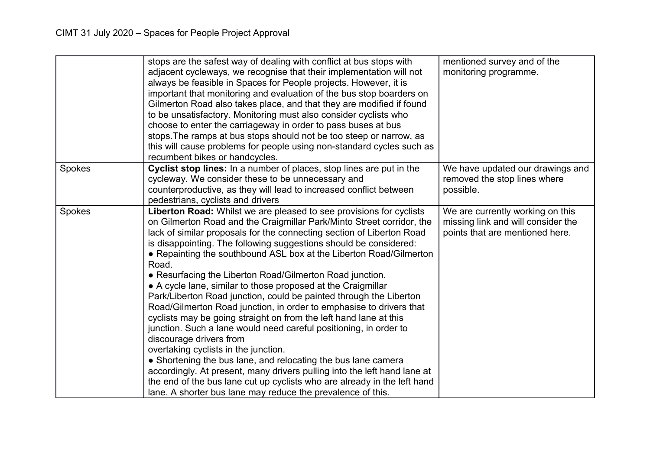|        | stops are the safest way of dealing with conflict at bus stops with<br>adjacent cycleways, we recognise that their implementation will not<br>always be feasible in Spaces for People projects. However, it is<br>important that monitoring and evaluation of the bus stop boarders on<br>Gilmerton Road also takes place, and that they are modified if found<br>to be unsatisfactory. Monitoring must also consider cyclists who<br>choose to enter the carriageway in order to pass buses at bus<br>stops. The ramps at bus stops should not be too steep or narrow, as<br>this will cause problems for people using non-standard cycles such as<br>recumbent bikes or handcycles.                                                                                                                                                                                                                                                                                                                                                                                                                                                                   | mentioned survey and of the<br>monitoring programme.                                                      |
|--------|---------------------------------------------------------------------------------------------------------------------------------------------------------------------------------------------------------------------------------------------------------------------------------------------------------------------------------------------------------------------------------------------------------------------------------------------------------------------------------------------------------------------------------------------------------------------------------------------------------------------------------------------------------------------------------------------------------------------------------------------------------------------------------------------------------------------------------------------------------------------------------------------------------------------------------------------------------------------------------------------------------------------------------------------------------------------------------------------------------------------------------------------------------|-----------------------------------------------------------------------------------------------------------|
| Spokes | Cyclist stop lines: In a number of places, stop lines are put in the<br>cycleway. We consider these to be unnecessary and<br>counterproductive, as they will lead to increased conflict between<br>pedestrians, cyclists and drivers                                                                                                                                                                                                                                                                                                                                                                                                                                                                                                                                                                                                                                                                                                                                                                                                                                                                                                                    | We have updated our drawings and<br>removed the stop lines where<br>possible.                             |
| Spokes | Liberton Road: Whilst we are pleased to see provisions for cyclists<br>on Gilmerton Road and the Craigmillar Park/Minto Street corridor, the<br>lack of similar proposals for the connecting section of Liberton Road<br>is disappointing. The following suggestions should be considered:<br>• Repainting the southbound ASL box at the Liberton Road/Gilmerton<br>Road.<br>• Resurfacing the Liberton Road/Gilmerton Road junction.<br>• A cycle lane, similar to those proposed at the Craigmillar<br>Park/Liberton Road junction, could be painted through the Liberton<br>Road/Gilmerton Road junction, in order to emphasise to drivers that<br>cyclists may be going straight on from the left hand lane at this<br>junction. Such a lane would need careful positioning, in order to<br>discourage drivers from<br>overtaking cyclists in the junction.<br>• Shortening the bus lane, and relocating the bus lane camera<br>accordingly. At present, many drivers pulling into the left hand lane at<br>the end of the bus lane cut up cyclists who are already in the left hand<br>lane. A shorter bus lane may reduce the prevalence of this. | We are currently working on this<br>missing link and will consider the<br>points that are mentioned here. |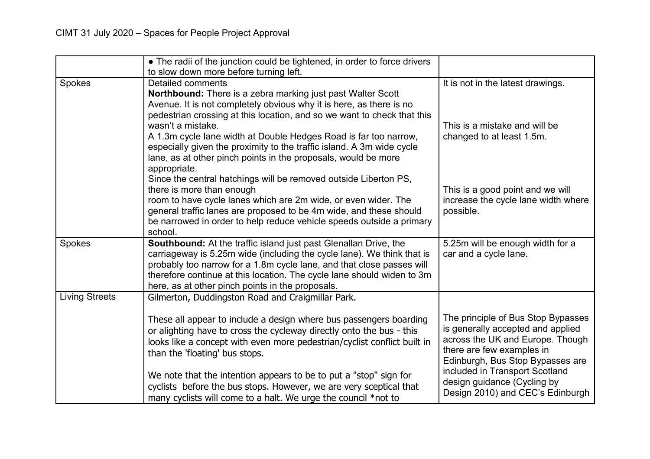|                       | • The radii of the junction could be tightened, in order to force drivers<br>to slow down more before turning left.                                                                                                                                                                                                                               |                                                                                                                                                                              |
|-----------------------|---------------------------------------------------------------------------------------------------------------------------------------------------------------------------------------------------------------------------------------------------------------------------------------------------------------------------------------------------|------------------------------------------------------------------------------------------------------------------------------------------------------------------------------|
| Spokes                | <b>Detailed comments</b><br>Northbound: There is a zebra marking just past Walter Scott<br>Avenue. It is not completely obvious why it is here, as there is no<br>pedestrian crossing at this location, and so we want to check that this                                                                                                         | It is not in the latest drawings.                                                                                                                                            |
|                       | wasn't a mistake.<br>A 1.3m cycle lane width at Double Hedges Road is far too narrow,<br>especially given the proximity to the traffic island. A 3m wide cycle<br>lane, as at other pinch points in the proposals, would be more<br>appropriate.                                                                                                  | This is a mistake and will be<br>changed to at least 1.5m.                                                                                                                   |
|                       | Since the central hatchings will be removed outside Liberton PS,<br>there is more than enough<br>room to have cycle lanes which are 2m wide, or even wider. The<br>general traffic lanes are proposed to be 4m wide, and these should<br>be narrowed in order to help reduce vehicle speeds outside a primary<br>school.                          | This is a good point and we will<br>increase the cycle lane width where<br>possible.                                                                                         |
| Spokes                | Southbound: At the traffic island just past Glenallan Drive, the<br>carriageway is 5.25m wide (including the cycle lane). We think that is<br>probably too narrow for a 1.8m cycle lane, and that close passes will<br>therefore continue at this location. The cycle lane should widen to 3m<br>here, as at other pinch points in the proposals. | 5.25m will be enough width for a<br>car and a cycle lane.                                                                                                                    |
| <b>Living Streets</b> | Gilmerton, Duddingston Road and Craigmillar Park.                                                                                                                                                                                                                                                                                                 |                                                                                                                                                                              |
|                       | These all appear to include a design where bus passengers boarding<br>or alighting have to cross the cycleway directly onto the bus - this<br>looks like a concept with even more pedestrian/cyclist conflict built in<br>than the 'floating' bus stops.                                                                                          | The principle of Bus Stop Bypasses<br>is generally accepted and applied<br>across the UK and Europe. Though<br>there are few examples in<br>Edinburgh, Bus Stop Bypasses are |
|                       | We note that the intention appears to be to put a "stop" sign for<br>cyclists before the bus stops. However, we are very sceptical that<br>many cyclists will come to a halt. We urge the council *not to                                                                                                                                         | included in Transport Scotland<br>design guidance (Cycling by<br>Design 2010) and CEC's Edinburgh                                                                            |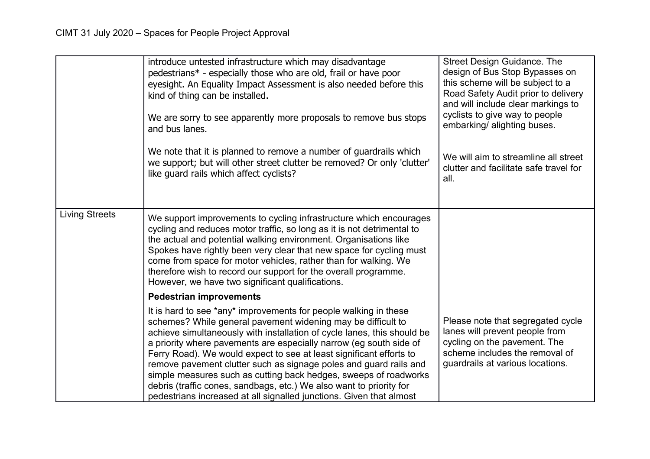|                       | introduce untested infrastructure which may disadvantage<br>pedestrians* - especially those who are old, frail or have poor<br>eyesight. An Equality Impact Assessment is also needed before this<br>kind of thing can be installed.<br>We are sorry to see apparently more proposals to remove bus stops<br>and bus lanes.<br>We note that it is planned to remove a number of guardrails which<br>we support; but will other street clutter be removed? Or only 'clutter'<br>like quard rails which affect cyclists?                                                                                                                          | <b>Street Design Guidance. The</b><br>design of Bus Stop Bypasses on<br>this scheme will be subject to a<br>Road Safety Audit prior to delivery<br>and will include clear markings to<br>cyclists to give way to people<br>embarking/ alighting buses.<br>We will aim to streamline all street<br>clutter and facilitate safe travel for<br>all. |
|-----------------------|-------------------------------------------------------------------------------------------------------------------------------------------------------------------------------------------------------------------------------------------------------------------------------------------------------------------------------------------------------------------------------------------------------------------------------------------------------------------------------------------------------------------------------------------------------------------------------------------------------------------------------------------------|--------------------------------------------------------------------------------------------------------------------------------------------------------------------------------------------------------------------------------------------------------------------------------------------------------------------------------------------------|
| <b>Living Streets</b> | We support improvements to cycling infrastructure which encourages<br>cycling and reduces motor traffic, so long as it is not detrimental to<br>the actual and potential walking environment. Organisations like<br>Spokes have rightly been very clear that new space for cycling must<br>come from space for motor vehicles, rather than for walking. We<br>therefore wish to record our support for the overall programme.<br>However, we have two significant qualifications.                                                                                                                                                               |                                                                                                                                                                                                                                                                                                                                                  |
|                       | <b>Pedestrian improvements</b>                                                                                                                                                                                                                                                                                                                                                                                                                                                                                                                                                                                                                  |                                                                                                                                                                                                                                                                                                                                                  |
|                       | It is hard to see *any* improvements for people walking in these<br>schemes? While general pavement widening may be difficult to<br>achieve simultaneously with installation of cycle lanes, this should be<br>a priority where pavements are especially narrow (eg south side of<br>Ferry Road). We would expect to see at least significant efforts to<br>remove pavement clutter such as signage poles and guard rails and<br>simple measures such as cutting back hedges, sweeps of roadworks<br>debris (traffic cones, sandbags, etc.) We also want to priority for<br>pedestrians increased at all signalled junctions. Given that almost | Please note that segregated cycle<br>lanes will prevent people from<br>cycling on the pavement. The<br>scheme includes the removal of<br>guardrails at various locations.                                                                                                                                                                        |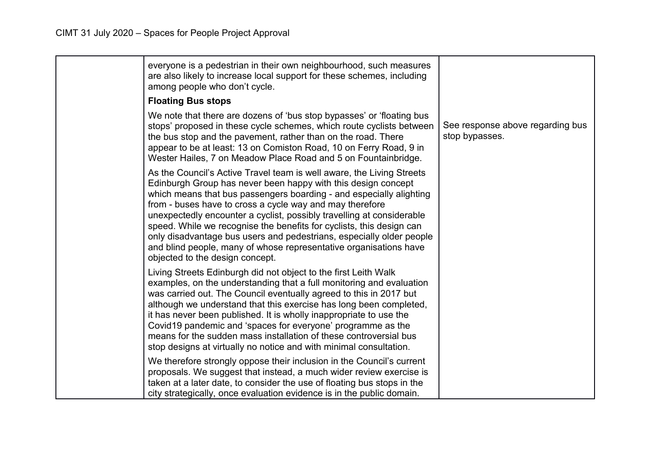| everyone is a pedestrian in their own neighbourhood, such measures<br>are also likely to increase local support for these schemes, including<br>among people who don't cycle.                                                                                                                                                                                                                                                                                                                                                                                                                              |                                                    |
|------------------------------------------------------------------------------------------------------------------------------------------------------------------------------------------------------------------------------------------------------------------------------------------------------------------------------------------------------------------------------------------------------------------------------------------------------------------------------------------------------------------------------------------------------------------------------------------------------------|----------------------------------------------------|
| <b>Floating Bus stops</b>                                                                                                                                                                                                                                                                                                                                                                                                                                                                                                                                                                                  |                                                    |
| We note that there are dozens of 'bus stop bypasses' or 'floating bus<br>stops' proposed in these cycle schemes, which route cyclists between<br>the bus stop and the pavement, rather than on the road. There<br>appear to be at least: 13 on Comiston Road, 10 on Ferry Road, 9 in<br>Wester Hailes, 7 on Meadow Place Road and 5 on Fountainbridge.                                                                                                                                                                                                                                                     | See response above regarding bus<br>stop bypasses. |
| As the Council's Active Travel team is well aware, the Living Streets<br>Edinburgh Group has never been happy with this design concept<br>which means that bus passengers boarding - and especially alighting<br>from - buses have to cross a cycle way and may therefore<br>unexpectedly encounter a cyclist, possibly travelling at considerable<br>speed. While we recognise the benefits for cyclists, this design can<br>only disadvantage bus users and pedestrians, especially older people<br>and blind people, many of whose representative organisations have<br>objected to the design concept. |                                                    |
| Living Streets Edinburgh did not object to the first Leith Walk<br>examples, on the understanding that a full monitoring and evaluation<br>was carried out. The Council eventually agreed to this in 2017 but<br>although we understand that this exercise has long been completed,<br>it has never been published. It is wholly inappropriate to use the<br>Covid19 pandemic and 'spaces for everyone' programme as the<br>means for the sudden mass installation of these controversial bus<br>stop designs at virtually no notice and with minimal consultation.                                        |                                                    |
| We therefore strongly oppose their inclusion in the Council's current<br>proposals. We suggest that instead, a much wider review exercise is<br>taken at a later date, to consider the use of floating bus stops in the<br>city strategically, once evaluation evidence is in the public domain.                                                                                                                                                                                                                                                                                                           |                                                    |